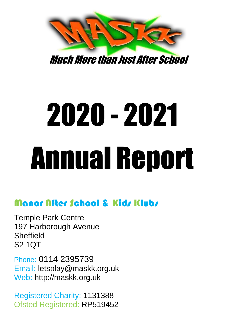

Much More than Just After School

# 2020 - 2021 Annual Report

# Manor After School & Kids Klubs

Temple Park Centre 197 Harborough Avenue **Sheffield** S2 1QT

Phone: 0114 2395739 Email: letsplay@maskk.org.uk Web: http://maskk.org.uk

Registered Charity: 1131388 Ofsted Registered: RP519452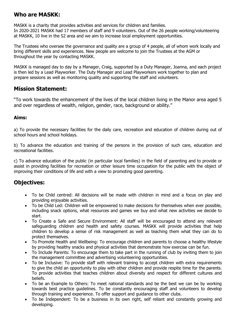#### **Who are MASKK:**

MASKK is a charity that provides activities and services for children and families. In 2020-2021 MASKK had 17 members of staff and 9 volunteers. Out of the 26 people working/volunteering at MASKK, 10 live in the S2 area and we aim to increase local employment opportunities.

The Trustees who oversee the governance and quality are a group of 4 people, all of whom work locally and bring different skills and experiences. New people are welcome to join the Trustees at the AGM or throughout the year by contacting MASKK.

MASKK is managed day to day by a Manager, Craig, supported by a Duty Manager, Joanna, and each project is then led by a Lead Playworker. The Duty Manager and Lead Playworkers work together to plan and prepare sessions as well as monitoring quality and supporting the staff and volunteers.

#### **Mission Statement:**

"To work towards the enhancement of the lives of the local children living in the Manor area aged 5 and over regardless of wealth, religion, gender, race, background or ability."

#### **Aims:**

a) To provide the necessary facilities for the daily care, recreation and education of children during out of school hours and school holidays.

b) To advance the education and training of the persons in the provision of such care, education and recreational facilities.

c) To advance education of the public (in particular local families) in the field of parenting and to provide or assist in providing facilities for recreation or other leisure time occupation for the public with the object of improving their conditions of life and with a view to promoting good parenting.

## **Objectives:**

- To be Child centred: All decisions will be made with children in mind and a focus on play and providing enjoyable activities.
- To be Child Led: Children will be empowered to make decisions for themselves when ever possible, including snack options, what resources and games we buy and what new activities we decide to start.
- To Create a Safe and Secure Environment: All staff will be encouraged to attend any relevant safeguarding children and health and safety courses. MASKK will provide activities that help children to develop a sense of risk management as well as teaching them what they can do to protect themselves.
- To Promote Health and Wellbeing: To encourage children and parents to choose a healthy lifestyle by providing healthy snacks and physical activities that demonstrate how exercise can be fun.
- To Include Parents: To encourage them to take part in the running of club by inviting them to join the management committee and advertising volunteering opportunities.
- To be Inclusive: To provide staff with relevant training to accept children with extra requirements to give the child an opportunity to play with other children and provide respite time for the parents. To provide activities that teaches children about diversity and respect for different cultures and beliefs.
- To be an Example to Others: To meet national standards and be the best we can be by working towards best practice guidelines. To be constantly encouraging staff and volunteers to develop through training and experience. To offer support and guidance to other clubs.
- To be Independent: To be a business in its own right, self reliant and constantly growing and developing.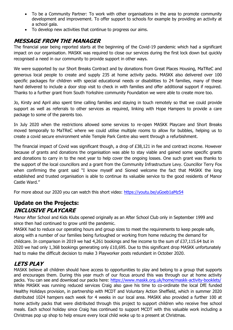- To be a Community Partner: To work with other organisations in the area to promote community development and improvement. To offer support to schools for example by providing an activity at a school gala.
- To develop new activities that continue to progress our aims.

## **MESSAGE FROM THE MANAGER**

The financial year being reported starts at the beginning of the Covid-19 pandemic which had a significant impact on our organisation. MASKK was required to close our services during the first lock down but quickly recognised a need in our community to provide support in other ways.

We were supported by our Short Breaks Contract and by donations from Great Places Housing, MaTReC and generous local people to create and supply 235 at home activity packs. MASKK also delivered over 100 specific packages for children with special educational needs or disabilities to 24 families, many of these hand delivered to include a door stop visit to check in with families and offer additional support if required. Thanks to a further grant from South Yorkshire community Foundation we were able to create more too.

Jo, Kirsty and April also spent time calling families and staying in touch remotely so that we could provide support as well as referrals to other services as required, linking with Hope Hampers to provide a care package to some of the parents too.

In July 2020 when the restrictions allowed some services to re-open MASKK Playcare and Short Breaks moved temporally to MaTReC where we could utilise multiple rooms to allow for bubbles, helping us to create a covid secure environment while Temple Park Centre also went through a refurbishment.

The financial impact of Covid was significant though, a drop of £38,121 in fee and contract income. However because of grants and donations the organisation was able to stay viable and gained some specific grants and donations to carry in to the next year to help cover the ongoing losses. One such grant was thanks to the support of the local councillors and a grant from the Community Infrastructure Levy. Councillor Terry Fox when confirming the grant said "I know myself and Sioned welcome the fact that MASKK the long established and trusted organisation is able to continue its valuable service to the good residents of Manor Castle Ward."

For more about our 2020 you can watch this short video:<https://youtu.be/uGoeb1aMz54>

# **Update on the Projects: INCLUSIVE PLAYCARE**

Manor After School and Kids Klubs opened originally as an After School Club only in September 1999 and since then had continued to grow until the pandemic.

MASKK had to reduce our operating hours and group sizes to meet the requirements to keep people safe, along with a number of our families being furloughed or working from home reducing the demand for childcare. In comparison in 2019 we had 4,261 bookings and fee income to the sum of £37,115.64 but in 2020 we had only 1,368 bookings generating only £10,695. Due to this significant drop MASKK unfortunately had to make the difficult decision to make 3 Playworker posts redundant in October 2020.

# **LETS PLAY**

MASKK believe all children should have access to opportunities to play and belong to a group that supports and encourages them. During this year much of our focus around this was through our at home activity packs. You can see and download our packs here:<https://www.maskk.org.uk/home/maskk-activity-booklets/> While MASKK was running reduced services Craig also gave his time to co-ordinate the local DfE funded Healthy Holidays provision, in partnership with MCDT and Voluntary Action Sheffield, which in summer 2020 distributed 1024 hampers each week for 4 weeks in our local area. MASKK also provided a further 100 at home activity packs that were distributed through this project to support children who receive free school meals. Each school holiday since Craig has continued to support MCDT with this valuable work including a Christmas pop up shop to help ensure every local child woke up to a present at Christmas.